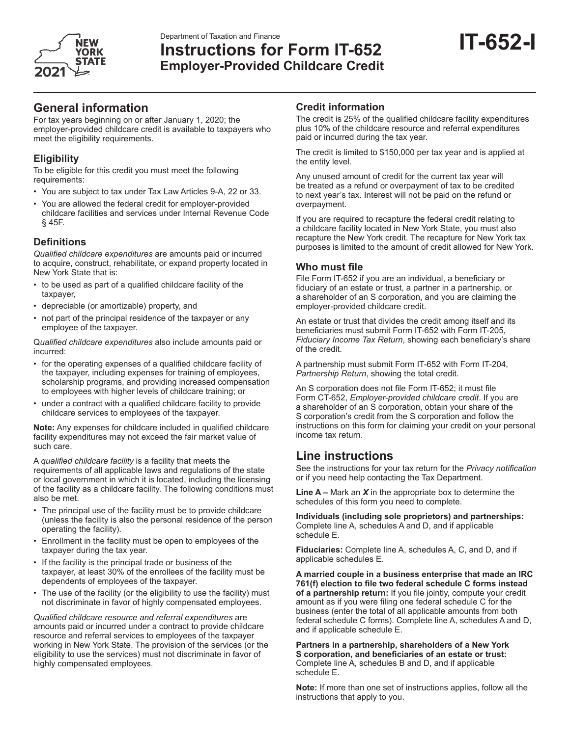

# Department of Taxation and Finance<br>Instructions for Form IT-652 **IT-652-I Employer-Provided Childcare Credit**

# **General information**

For tax years beginning on or after January 1, 2020; the employer-provided childcare credit is available to taxpayers who meet the eligibility requirements.

# **Eligibility**

To be eligible for this credit you must meet the following requirements:

- You are subject to tax under Tax Law Articles 9-A, 22 or 33.
- You are allowed the federal credit for employer-provided childcare facilities and services under Internal Revenue Code § 45F.

# **Definitions**

*Qualified childcare expenditures* are amounts paid or incurred to acquire, construct, rehabilitate, or expand property located in New York State that is:

- to be used as part of a qualified childcare facility of the taxpayer,
- depreciable (or amortizable) property, and
- not part of the principal residence of the taxpayer or any employee of the taxpayer.

Q*ualified childcare expenditures* also include amounts paid or incurred:

- • for the operating expenses of a qualified childcare facility of the taxpayer, including expenses for training of employees, scholarship programs, and providing increased compensation to employees with higher levels of childcare training; or
- under a contract with a qualified childcare facility to provide childcare services to employees of the taxpayer.

**Note:** Any expenses for childcare included in qualified childcare facility expenditures may not exceed the fair market value of such care.

A *qualified childcare facility* is a facility that meets the requirements of all applicable laws and regulations of the state or local government in which it is located, including the licensing of the facility as a childcare facility. The following conditions must also be met.

- The principal use of the facility must be to provide childcare (unless the facility is also the personal residence of the person operating the facility).
- Enrollment in the facility must be open to employees of the taxpayer during the tax year.
- If the facility is the principal trade or business of the taxpayer, at least 30% of the enrollees of the facility must be dependents of employees of the taxpayer.
- The use of the facility (or the eligibility to use the facility) must not discriminate in favor of highly compensated employees.

*Qualified childcare resource and referral expenditures* are amounts paid or incurred under a contract to provide childcare resource and referral services to employees of the taxpayer working in New York State. The provision of the services (or the eligibility to use the services) must not discriminate in favor of highly compensated employees.

# **Credit information**

The credit is 25% of the qualified childcare facility expenditures plus 10% of the childcare resource and referral expenditures paid or incurred during the tax year.

The credit is limited to \$150,000 per tax year and is applied at the entity level.

Any unused amount of credit for the current tax year will be treated as a refund or overpayment of tax to be credited to next year's tax. Interest will not be paid on the refund or overpayment.

If you are required to recapture the federal credit relating to a childcare facility located in New York State, you must also recapture the New York credit. The recapture for New York tax purposes is limited to the amount of credit allowed for New York.

# **Who must file**

File Form IT-652 if you are an individual, a beneficiary or fiduciary of an estate or trust, a partner in a partnership, or a shareholder of an S corporation, and you are claiming the employer-provided childcare credit.

An estate or trust that divides the credit among itself and its beneficiaries must submit Form IT-652 with Form IT-205, *Fiduciary Income Tax Return*, showing each beneficiary's share of the credit.

A partnership must submit Form IT-652 with Form IT-204, *Partnership Return*, showing the total credit.

An S corporation does not file Form IT-652; it must file Form CT-652, *Employer-provided childcare credit*. If you are a shareholder of an S corporation, obtain your share of the S corporation's credit from the S corporation and follow the instructions on this form for claiming your credit on your personal income tax return.

# **Line instructions**

See the instructions for your tax return for the *Privacy notification* or if you need help contacting the Tax Department.

**Line A –** Mark an *X* in the appropriate box to determine the schedules of this form you need to complete.

**Individuals (including sole proprietors) and partnerships:** Complete line A, schedules A and D, and if applicable schedule E.

**Fiduciaries:** Complete line A, schedules A, C, and D, and if applicable schedules E.

**A married couple in a business enterprise that made an IRC 761(f) election to file two federal schedule C forms instead of a partnership return:** If you file jointly, compute your credit amount as if you were filing one federal schedule C for the business (enter the total of all applicable amounts from both federal schedule C forms). Complete line A, schedules A and D, and if applicable schedule E.

**Partners in a partnership, shareholders of a New York S corporation, and beneficiaries of an estate or trust:** Complete line A, schedules B and D, and if applicable schedule E.

**Note:** If more than one set of instructions applies, follow all the instructions that apply to you.